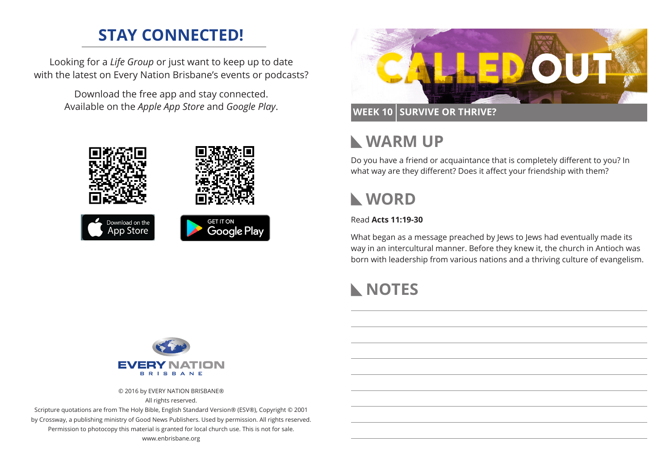# **STAY CONNECTED!**

Looking for a *Life Group* or just want to keep up to date with the latest on Every Nation Brisbane's events or podcasts?

> Download the free app and stay connected. Available on the *Apple App Store* and *Google Play*.





#### **WEEK 10 SURVIVE OR THRIVE?**

### **WARM UP**

Do you have a friend or acquaintance that is completely different to you? In what way are they different? Does it affect your friendship with them?

# **WORD**

#### Read **Acts 11:19-30**

What began as a message preached by Jews to Jews had eventually made its way in an intercultural manner. Before they knew it, the church in Antioch was born with leadership from various nations and a thriving culture of evangelism.

# **NOTES**



© 2016 by EVERY NATION BRISBANE®

All rights reserved.

Scripture quotations are from The Holy Bible, English Standard Version® (ESV®), Copyright © 2001 by Crossway, a publishing ministry of Good News Publishers. Used by permission. All rights reserved. Permission to photocopy this material is granted for local church use. This is not for sale. www.enbrisbane.org